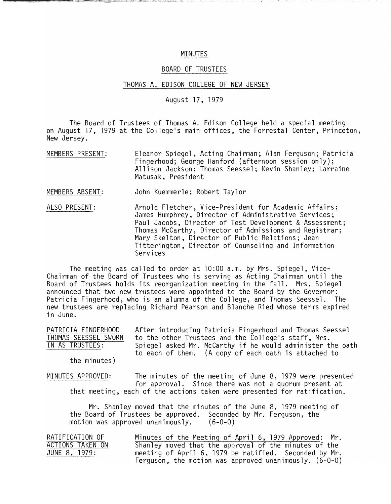## MINUTES

## BOARD OF TRUSTEES

## THOMAS A. EDISON COLLEGE OF NEW JERSEY

August 17, 1979

The Board of Trustees of Thomas A. Edison College held a special meeting on August 17, 1979 at the College's main offices, the Forrestal Center, Princeton, New Jersey.

MEMBERS PRESENT: Eleanor Spiegel, Acting Chairman; Alan Ferguson; Patricia Fingerhood; George Hanford (afternoon session only); Allison Jackson; Thomas Seessel; Kevin Shanley; Larraine Matusak, President

MEMBERS ABSENT: John Kuemmerle; Robert Taylor

ALSO PRESENT: Arnold Fletcher, Vice-President for Academic Affairs; James Humphrey, Director of Administrative Services; Paul Jacobs, Director of Test Development & Assessment; Thomas McCarthy, Director of Admissions and Registrar; Mary Skelton, Director of Public Relations; Jean Titterington, Director of Counseling and Information Services

The meeting was called to order at 10:00 a.m. by Mrs. Spiegel, Vice-Chairman of the Board of Trustees who is serving as Acting Chairman until the Board of Trustees holds its reorganization meeting in the fall. Mrs. Spiegel announced that two new trustees were appointed to the Board by the Governor: Patricia Fingerhood, who is an alumna of the College, and Thomas Seessel. The new trustees are replacing Richard Pearson and Blanche Ried whose terms expired in June.

| PATRICIA FINGERHOOD  | After introducing Patricia Fingerhood and Thomas Seessel   |
|----------------------|------------------------------------------------------------|
| THOMAS SEESSEL SWORN | to the other Trustees and the College's staff, Mrs.        |
| IN AS TRUSTEES:      | Spiegel asked Mr. McCarthy if he would administer the oath |
|                      | to each of them. (A copy of each oath is attached to       |

the minutes)

MINUTES APPROVED: The minutes of the meeting of June 8, 1979 were presented for approval. Since there was not a quorum present at that meeting, each of the actions taken were presented for ratification.

Mr. Shanley moved that the minutes of the June 8, 1979 meeting of the Board of Trustees be approved. Seconded by Mr. Ferguson, the motion was approved unanimously. (6-0-0)

| RATIFICATION OF  | Minutes of the Meeting of April 6, 1979 Approved: Mr.    |  |
|------------------|----------------------------------------------------------|--|
| ACTIONS TAKEN ON | Shanley moved that the approval of the minutes of the    |  |
| JUNE 8, 1979:    | meeting of April 6, 1979 be ratified. Seconded by Mr.    |  |
|                  | Ferguson, the motion was approved unanimously. $(6-0-0)$ |  |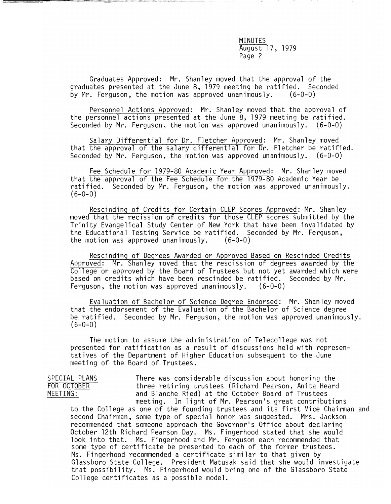Graduates Approved: Mr. Shanley moved that the approval of the graduates presented at the June 8, 1979 meeting be ratified. Seconded<br>by Mr. Ferguson, the motion was approved unanimously. (6-0-0) by Mr. Ferguson, the motion was approved unanimously.

Personnel Actions Approved: Mr. Shanley moved that the approval of the personnel actions presented at the June 8, 1979 meeting be ratified. Seconded by Mr. Ferguson, the motion was approved unanimously. (6-0-0)

Salary Differential for Dr. Fletcher Approved: Mr. Shanley moved that the approval of the salary differential for Dr. Fletcher be ratified. Seconded by Mr. Ferguson, the motion was approved unanimously.  $(6-0-0)$ 

Fee Schedule for 1979-80 Academic Year Approved: Mr. Shanley moved that the approval of the Fee Schedule for the 1979-80 Academic Year be ratified. Seconded by Mr. Ferguson, the motion was approved unanimously.  $(6-0-0)$ 

Rescinding of Credits for Certain CLEP Scores Approved: Mr. Shanley moved that the recission of credits for those CLEP scores submitted by the Trinity Evangelical Study Center of New York that have been invalidated by the Educational Testing Service be ratified. Seconded by Mr. Ferguson,<br>the motion was approved unanimously. (6-0-0) the motion was approved unanimously.

Rescinding of Degrees Awarded or Approved Based on Rescinded Credits Approved: Mr. Shanley moved that the rescission of degrees awarded by the College or approved by the Board of Trustees but not yet awarded which were based on credits which have been rescinded be ratified. Seconded by Mr. Ferguson, the motion was approved unanimously. (6-0-0)

Evaluation of Bachelor of Science Degree Endorsed: Mr. Shanley moved that the endorsement of the Evaluation of the Bachelor of Science degree be ratified. Seconded by Mr. Ferguson, the motion was approved unanimously.  $(6 - 0 - 0)$ 

The motion to assume the administration of Telecollege was not presented for ratification as a result of discussions held with representatives of the Department of Higher Education subsequent to the June meeting of the Board of Trustees.

SPECIAL PLANS There was considerable discussion about honoring the<br>
FOR OCTOBER TOR three retiring trustees (Richard Pearson, Anita Heard FOR OCTOBER three retiring trustees (Richard Pearson, Anita Heard<br>MEETING: The and Blanche Ried) at the October Board of Trustees and Blanche Ried) at the October Board of Trustees meeting. In light of Mr. Pearson's great contributions

to the College as one of the founding trustees and its first Vice Chairman and second Chairman, some type of special honor was suggested. Mrs. Jackson recommended that someone approach the Governor's Office about declaring October 12th Richard Pearson Day. Ms. Fingerhood stated that she would look into that. Ms. Fingerhood and Mr. Ferguson each recommended that some type of certificate be presented to each of the former trustees. Ms. Fingerhood recommended a certificate similar to that given by Glassboro State College. President Matusak said that she would investigate that possibility. Ms. Fingerhood would bring one of the Glassboro State College certificates as a possible model.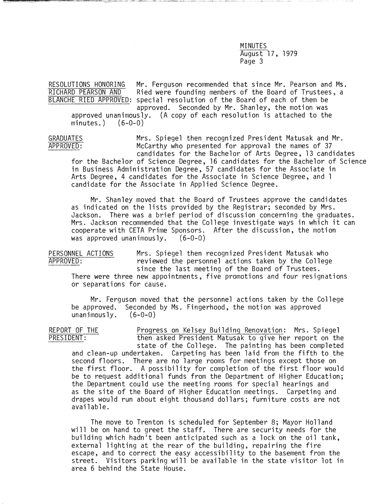RESOLUTIONS HONORING Mr. Ferguson recommended that since Mr. Pearson and Ms.<br>RICHARD PEARSON AND Ried were founding members of the Board of Trustees. a Ried were founding members of the Board of Trustees, a BLANCHE RIED APPROVED: special resolution of the Board of each of them be approved. Seconded by Mr. Shanley, the motion was approved unanimously. (A copy of each resolution is attached to the minutes.)  $(6-0-0)$  $minutes.$ )

GRADUATES Mrs. Spiegel then recognized President Matusak and Mr. APPROVED: McCarthy who presented for approval the names of 37 candidates for the Bachelor of Arts Degree, 13 candidates for the Bachelor of Science Degree, 16 candidates for the Bachelor of Science in Business Administration Degree, 57 candidates for the Associate in Arts Degree, 4 candidates for the Associate in Science Degree, and 1 candidate for the Associate in Applied Science Degree.

Mr. Shanley moved that the Board of Trustees approve the candidates as indicated on the lists provided by the Registrar; seconded by Mrs. Jackson. There was a brief period of discussion concerning the graduates. Mrs. Jackson recommended that the College investigate ways in which it can cooperate with CETA Prime Sponsors. After the discussion, the motion<br>was approved unanimously. (6-0-0) was approved unanimously.

PERSONNEL ACTIONS Mrs. Spiegel then recognized President Matusak who<br>APPROVED: The reviewed the personnel actions taken by the College reviewed the personnel actions taken by the College since the last meeting of the Board of Trustees.

There were three new appointments, five promotions and four resignations or separations for cause.

Mr. Ferguson moved that the personnel actions taken by the College be approved. Seconded by Ms. Fingerhood, the motion was approved unanimously.  $(6-0-0)$ unanimously.

REPORT OF THE Progress on Kelsey Building Renovation: Mrs. Spiegel<br>PRESIDENT: Then asked President Matusak to give her report on the then asked President Matusak to give her report on the state of the College. The painting has been completed and clean-up undertaken. Carpeting has been laid from the fifth to the second floors. There are no large rooms for meetings except those on the first floor. A possibility for completion of the first floor would be to request additional funds from the Department of Higher Education; the Department could use the meeting rooms for special hearings and as the site of the Board of Higher Education meetings. Carpeting and drapes would run about eight thousand dollars; furniture costs are not available.

The move to Trenton is scheduled for September 8; Mayor Holland will be on hand to greet the staff. There are security needs for the building which hadn't been anticipated such as a lock on the oil tank, external lighting at the rear of the building, repairing the fire escape, and to correct the easy accessibility to the basement from the street. Visitors parking will be available in the state visitor lot in area 6 behind the State House.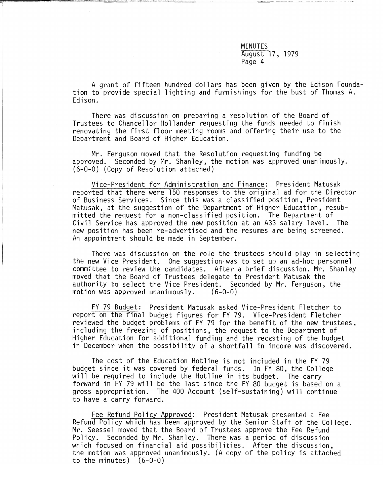A grant of fifteen hundred dollars has been given by the Edison Foundation to provide special lighting and furnishings for the bust of Thomas A. Edison.

There was discussion on preparing a resolution of the Board of Trustees to Chancellor Hollander requesting the funds needed to finish renovating the first floor meeting rooms and offering their use to the Department and Board of Higher Education.

Mr. Ferguson moved that the Resolution requesting funding be approved. Seconded by Mr. Shanley, the motion was approved unanimously. (6-0-0) (Copy of Resolution attached)

Vice-President for Administration and Finance: President Matusak reported that there were 150 responses to the original ad for the Director of Business Services. Since this was a classified position, President Matusak, at the suggestion of the Department of Higher Education, resubmitted the request for a non-classified position. The Department of Civil Service has approved the new position at an A33 salary level. The new position has been re-advertised and the resumes are being screened. An appointment should be made in September.

There was discussion on the role the trustees should play in selecting the new Vice President. One suggestion was to set up an ad-hoc personnel committee to review the candidates. After a brief discussion, Mr. Shanley moved that the Board of Trustees delegate to President Matusak the authority to select the Vice President. Seconded by Mr. Ferguson, the motion was approved unanimously. (6-0-0) motion was approved unanimously.

FY 79 Budget: President Matusak asked Vice-President Fletcher to report on the final budget figures for FY 79. Vice-President Fletcher reviewed the budget problems of FY 79 for the benefit of the new trustees, including the freezing of positions, the request to the Department of Higher Education for additional funding and the recasting of the budget in December when the possibility of a shortfall in income was discovered.

The cost of the Education Hotline is not included in the FY 79 budget since it was covered by federal funds. In FY 80, the College will be required to include the Hotline in its budget. The carry forward in FY 79 will be the last since the FY 80 budget is based on a gross appropriation. The 400 Account (self-sustaining) will continue to have a carry forward.

Fee Refund Policy Approved: President Matusak presented a Fee Refund Policy which has been approved by the Senior Staff of the College. Mr. Seessel moved that the Board of Trustees approve the Fee Refund Policy. Seconded by Mr. Shanley. There was a period of discussion which focused on financial aid possibilities. After the discussion, the motion was approved unanimously. (A copy of the policy is attached to the minutes) (6-0-0)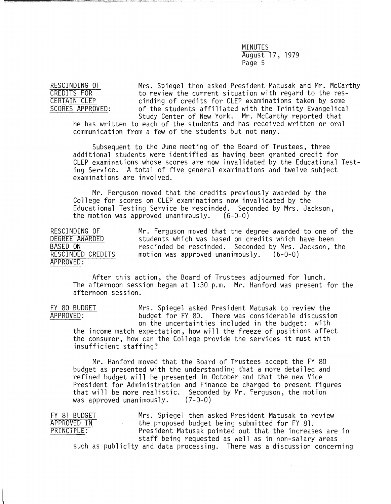RESCINDING OF Mrs. Spiegel then asked President Matusak and Mr. McCarthy CREDITS FOR to review the current situation with regard to the res-<br>CREDITS FOR to review the current situation with regard to the res-<br>CERTAIN CLEP CERTAIN CLEP cinding of credits for CLEP examinations taken by some<br>SCORES APPROVED: of the students affiliated with the Trinity Evangelica of the students affiliated with the Trinity Evangelical<br>Study Center of New York. Mr. McCarthy reported that

he has written to each of the students and has received written or oral communication from a few of the students but not many.

Subsequent to the June meeting of the Board of Trustees, three additional students were identified as having been granted credit for CLEP examinations whose scores are now invalidated by the Educational Testing Service. A total of five general examinations and twelve subject examinations are involved.

Mr. Ferguson moved that the credits previously awarded by the College for scores on CLEP examinations now invalidated by the Educational Testing Service be rescinded. Seconded by Mrs. Jackson, the motion was approved unanimously. (6-0-0)

RESCINDING OF Mr. Ferguson moved that the degree awarded to one of the<br>DEGREE AWARDED students which was based on credits which have been DEGREE AWARDED students which was based on credits which have been<br>BASED ON sescinded be rescinded. Seconded by Mrs. Jackson, 1  $\overline{BASED}$  ON rescinded be rescinded. Seconded by Mrs. Jackson, the RESCINDED CREDITS motion was approved unanimously. (6-0-0) motion was approved unanimously.  $(6-0-0)$ APPROVED :

After this action, the Board of Trustees adjourned for lunch. The afternoon session began at 1 :30 p.m. Mr. Hanford was present for the afternoon session.

FY 80 BUDGET Mrs. Spiegel asked President Matusak to review the<br>APPROVED: budget for FY 80. There was considerable discussion budget for FY 80. There was considerable discussion on the uncertainties included in the budget: with the income match expectation, how will the freeze of positions affect the consumer, how can the College provide the services it must with insufficient staffing?

Mr. Hanford moved that the Board of Trustees accept the FY 80 budget as presented with the understanding that a more detailed and refined budget will be presented in October and that the new Vice President for Administration and Finance be charged to present figures<br>that will be more realistic. Seconded by Mr. Ferguson, the motion<br>was approved unanimously. (7-0-0) was approved unanimously.

FY 81 BUDGET Mrs. Spiegel then asked President Matusak to review<br>APPROVED IN the proposed budget being submitted for FY 81. APPROVED IN the proposed budget being submitted for FY 81.<br>PRINCIPLE: President Matusak pointed out that the increas President Matusak pointed out that the increases are in staff being requested as well as in non-salary areas such as publicity and data processing. There was a discussion concerning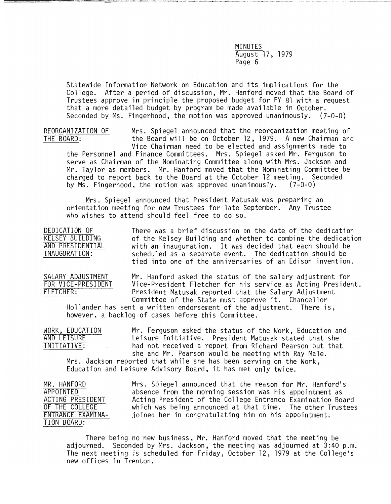Statewide Information Network on Education and its implications for the College. After a period of discussion, Mr. Hanford moved that the Board of Trustees approve in principle the proposed budget for FY 81 with a request that a more detailed budget by program be made available in October. Seconded by Ms. Fingerhood, the motion was approved unanimously. (Z-O-O)

REORGANIZATION OF Mrs. Spiegel announced that the reorganization meeting of<br>THE BOARD: THE Board will be on October 12, 1979. A new Chairman and the Board will be on October 12, 1979. A new Chairman and Vice Chairman need to be elected and assignments made to the Personnel and Finance Committees. Mrs. Spiegel asked Mr. Ferguson to serve as Chairman of the Nominating Committee along with Mrs. Jackson and Mr. Taylor as members. Mr. Hanford moved that the Nominating Committee be charged to report back to the Board at the October 12 meeting. Seconded<br>by Ms. Fingerhood, the motion was approved unanimously. (7-0-0) by Ms. Fingerhood, the motion was approved unanimously.

Mrs. Spiegel announced that President Matusak was preparing an orientation meeting for new Trustees for late September. Any Trustee who wishes to attend should feel free to do so.

DEDICATION OF There was a brief discussion on the date of the dedication<br>KELSEY BUILDING of the Kelsey Building and whether to combine the dedication KELSEY BUILDING of the Kelsey Building and whether to combine the dedication<br>AND PRESIDENTIAL with an inauguration. It was decided that each should be AND PRESIDENTIAL and inauguration. It was decided that each should be information:<br>INAUGURATION: scheduled as a separate event. The dedication should be scheduled as a separate event. The dedication should be tied into one of the anniversaries of an Edison invention.

SALARY ADJUSTMENT Mr. Hanford asked the status of the salary adjustment for<br>FOR VICE-PRESIDENT Vice-President Fletcher for his service as Acting Presider FOR VICE-PRESIDENT Vice-President Fletcher for his service as Acting President.<br>FLETCHER: President Matusak reported that the Salary Adjustment President Matusak reported that the Salary Adjustment Committee of the State must approve it. Chancellor

Hollander has sent a written endorsement of the adjustment. There is, however, a backlog of cases before this Committee.

WORK, EDUCATION Mr. Ferguson asked the status of the Work, Education and<br>AND LEISURE Leisure Initiative. President Matusak stated that she AND LEISURE Leisure Initiative. President Matusak stated that she<br>INITIATIVE: had not received a report from Richard Pearson but tha had not received a report from Richard Pearson but that she and Mr. Pearson would be meeting with Ray Male.

Mrs. Jackson reported that while she has been serving on the Work, Education and Leisure Advisory Board, it has met only twice.

MR. HANFORD Mrs. Spiegel announced that the reason for Mr. Hanford's<br>APPOINTED absence from the morning session was his appointment as APPOINTED absence from the morning session was his appointment as ACTING PRESIDENT Acting President of the College Entrance Examination Board<br>OF THE COLLEGE which was being announced at that time. The other Trustees OF THE COLLEGE which was being announced at that time. The other Trustees<br>ENTRANCE EXAMINA- joined her in congratulating him on his appointment. ENTRANCE EXAMINA- joined her in congratulating him on his appointment.<br>TION BOARD:

There being no new business, Mr. Hanford moved that the meeting be adjourned. Seconded by Mrs. Jackson, the meeting was adjourned at 3:40 p.m. The next meeting is scheduled for Friday, October 12, 1979 at the College's new offices in Trenton.